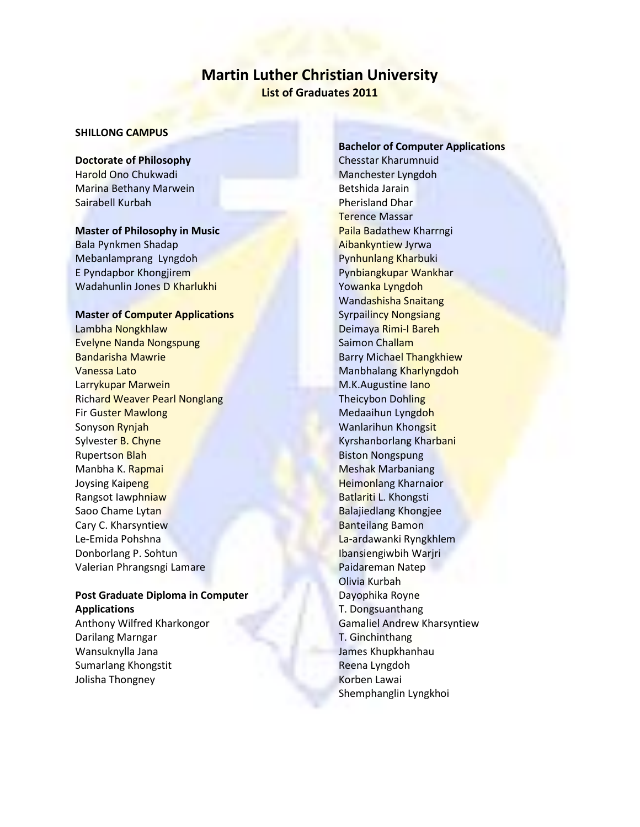# **Martin Luther Christian University List of Graduates 2011**

### **SHILLONG CAMPUS**

## **Doctorate of Philosophy** Harold Ono Chukwadi Marina Bethany Marwein Sairabell Kurbah

### **Master of Philosophy in Music**

Bala Pynkmen Shadap Mebanlamprang Lyngdoh E Pyndapbor Khongjirem Wadahunlin Jones D Kharlukhi

#### **Master of Computer Applications**

Lambha Nongkhlaw Evelyne Nanda Nongspung Bandarisha Mawrie Vanessa Lato Larrykupar Marwein Richard Weaver Pearl Nonglang Fir Guster Mawlong Sonyson Rynjah Sylvester B. Chyne Rupertson Blah Manbha K. Rapmai Joysing Kaipeng Rangsot Iawphniaw Saoo Chame Lytan Cary C. Kharsyntiew Le-Emida Pohshna Donborlang P. Sohtun Valerian Phrangsngi Lamare

### **Post Graduate Diploma in Computer Applications**

Anthony Wilfred Kharkongor Darilang Marngar Wansuknylla Jana Sumarlang Khongstit Jolisha Thongney

**Bachelor of Computer Applications** Chesstar Kharumnuid Manchester Lyngdoh Betshida Jarain Pherisland Dhar Terence Massar Paila Badathew Kharrngi Aibankyntiew Jyrwa Pynhunlang Kharbuki Pynbiangkupar Wankhar Yowanka Lyngdoh Wandashisha Snaitang Syrpailincy Nongsiang Deimaya Rimi-I Bareh Saimon Challam Barry Michael Thangkhiew Manbhalang Kharlyngdoh M.K.Augustine lano Theicybon Dohling Medaaihun Lyngdoh Wanlarihun Khongsit Kyrshanborlang Kharbani Biston Nongspung Meshak Marbaniang Heimonlang Kharnaior Batlariti L. Khongsti Balajiedlang Khongjee Banteilang Bamon La-ardawanki Ryngkhlem Ibansiengiwbih Warjri Paidareman Natep Olivia Kurbah Dayophika Royne T. Dongsuanthang Gamaliel Andrew Kharsyntiew T. Ginchinthang James Khupkhanhau Reena Lyngdoh Korben Lawai Shemphanglin Lyngkhoi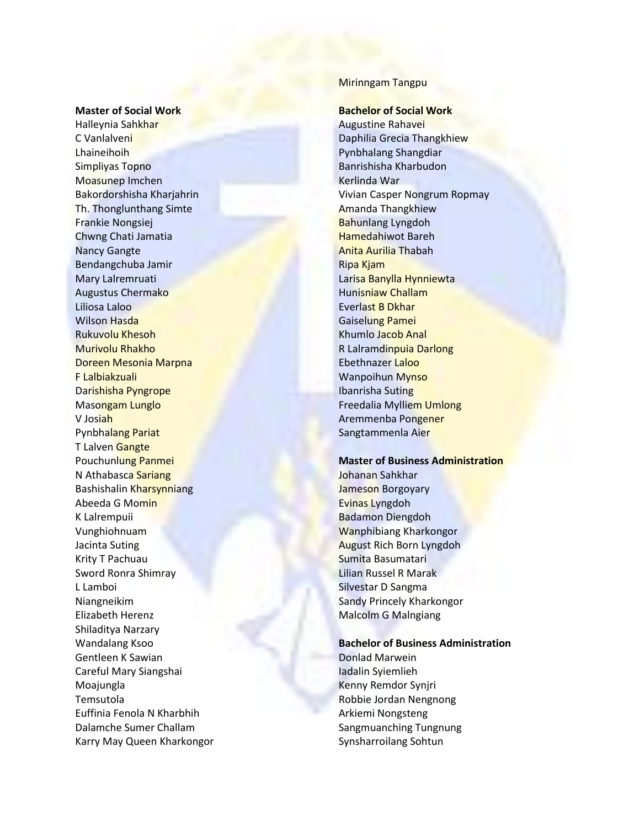#### **Master of Social Work**

Halleynia Sahkhar C Vanlalveni Lhaineihoih Simpliyas Topno Moasunep Imchen Bakordorshisha Kharjahrin Th. Thonglunthang Simte Frankie Nongsiej Chwng Chati Jamatia Nancy Gangte Bendangchuba Jamir Mary Lalremruati Augustus Chermako Liliosa Laloo Wilson Hasda Rukuvolu Khesoh Murivolu Rhakho Doreen Mesonia Marpna F Lalbiakzuali Darishisha Pyngrope Masongam Lunglo V Josiah Pynbhalang Pariat T Lalven Gangte Pouchunlung Panmei N Athabasca Sariang Bashishalin Kharsynniang Abeeda G Momin K Lalrempuii Vunghiohnuam Jacinta Suting Krity T Pachuau Sword Ronra Shimray L Lamboi Niangneikim Elizabeth Herenz Shiladitya Narzary Wandalang Ksoo Gentleen K Sawian Careful Mary Siangshai Moajungla Temsutola Euffinia Fenola N Kharbhih Dalamche Sumer Challam Karry May Queen Kharkongor

### Mirinngam Tangpu

#### **Bachelor of Social Work**

Augustine Rahavei Daphilia Grecia Thangkhiew Pynbhalang Shangdiar Banrishisha Kharbudon Kerlinda War Vivian Casper Nongrum Ropmay Amanda Thangkhiew Bahunlang Lyngdoh Hamedahiwot Bareh Anita Aurilia Thabah Ripa Kjam Larisa Banylla Hynniewta Hunisniaw Challam Everlast B Dkhar Gaiselung Pamei Khumlo Jacob Anal R Lalramdinpuia Darlong Ebethnazer Laloo Wanpoihun Mynso Ibanrisha Suting Freedalia Mylliem Umlong Aremmenba Pongener Sangtammenla Aier

#### **Master of Business Administration**

Johanan Sahkhar Jameson Borgoyary Evinas Lyngdoh Badamon Diengdoh Wanphibiang Kharkongor August Rich Born Lyngdoh Sumita Basumatari Lilian Russel R Marak Silvestar D Sangma Sandy Princely Kharkongor Malcolm G Malngiang

**Bachelor of Business Administration** Donlad Marwein Iadalin Syiemlieh Kenny Remdor Synjri Robbie Jordan Nengnong Arkiemi Nongsteng Sangmuanching Tungnung Synsharroilang Sohtun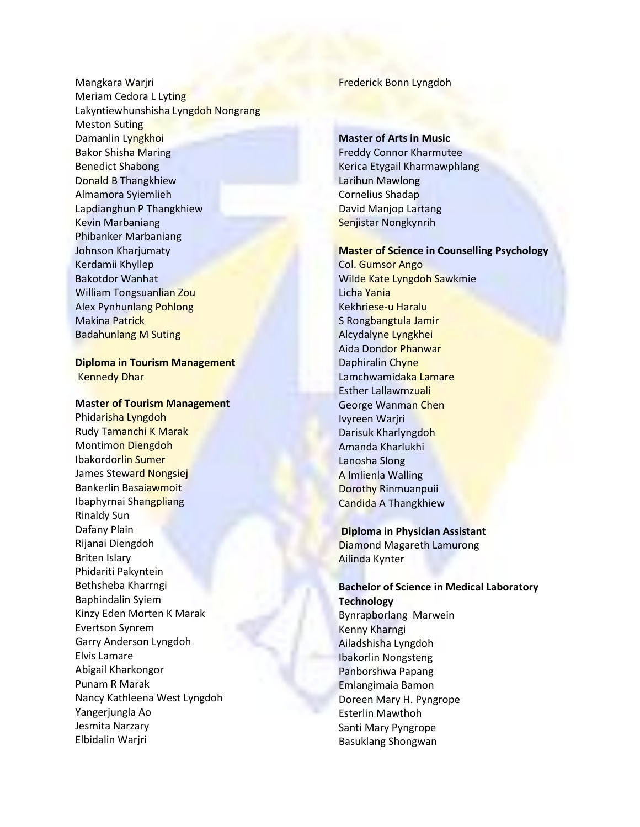Mangkara Warjri Meriam Cedora L Lyting Lakyntiewhunshisha Lyngdoh Nongrang Meston Suting Damanlin Lyngkhoi Bakor Shisha Maring Benedict Shabong Donald B Thangkhiew Almamora Syiemlieh Lapdianghun P Thangkhiew Kevin Marbaniang Phibanker Marbaniang Johnson Kharjumaty Kerdamii Khyllep Bakotdor Wanhat William Tongsuanlian Zou Alex Pynhunlang Pohlong Makina Patrick Badahunlang M Suting

### **Diploma in Tourism Management** Kennedy Dhar

#### **Master of Tourism Management**

Phidarisha Lyngdoh Rudy Tamanchi K Marak Montimon Diengdoh Ibakordorlin Sumer James Steward Nongsiej Bankerlin Basaiawmoit Ibaphyrnai Shangpliang Rinaldy Sun Dafany Plain Rijanai Diengdoh Briten Islary Phidariti Pakyntein Bethsheba Kharrngi Baphindalin Syiem Kinzy Eden Morten K Marak Evertson Synrem Garry Anderson Lyngdoh Elvis Lamare Abigail Kharkongor Punam R Marak Nancy Kathleena West Lyngdoh Yangerjungla Ao Jesmita Narzary Elbidalin Warjri

### Frederick Bonn Lyngdoh

### **Master of Arts in Music**

Freddy Connor Kharmutee Kerica Etygail Kharmawphlang Larihun Mawlong Cornelius Shadap David Manjop Lartang Senjistar Nongkynrih

#### **Master of Science in Counselling Psychology**

Col. Gumsor Ango Wilde Kate Lyngdoh Sawkmie Licha Yania Kekhriese-u Haralu S Rongbangtula Jamir Alcydalyne Lyngkhei Aida Dondor Phanwar Daphiralin Chyne Lamchwamidaka Lamare Esther Lallawmzuali George Wanman Chen Ivyreen Warjri Darisuk Kharlyngdoh Amanda Kharlukhi Lanosha Slong A Imlienla Walling Dorothy Rinmuanpuii Candida A Thangkhiew

### **Diploma in Physician Assistant**

Diamond Magareth Lamurong Ailinda Kynter

Basuklang Shongwan

**Bachelor of Science in Medical Laboratory Technology** Bynrapborlang Marwein Kenny Kharngi Ailadshisha Lyngdoh Ibakorlin Nongsteng Panborshwa Papang Emlangimaia Bamon Doreen Mary H. Pyngrope Esterlin Mawthoh Santi Mary Pyngrope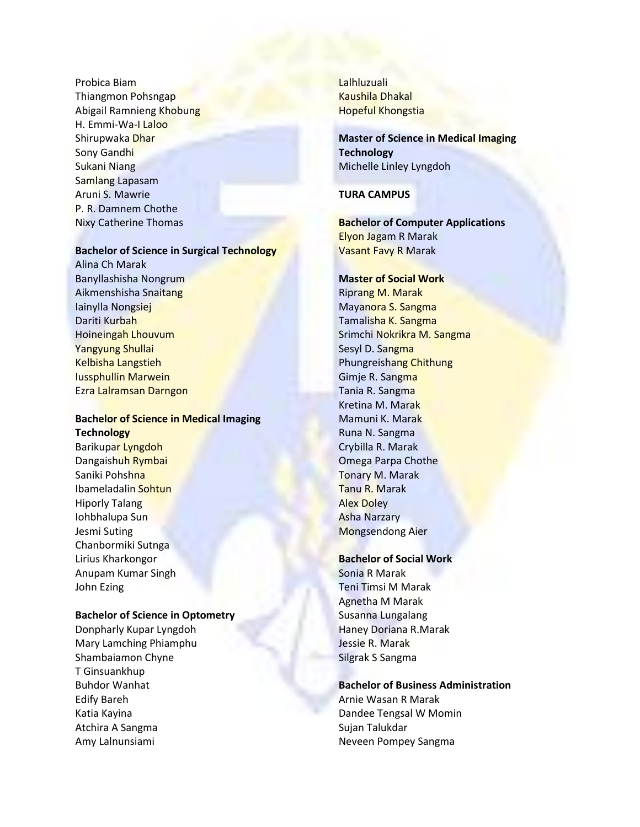Probica Biam Thiangmon Pohsngap Abigail Ramnieng Khobung H. Emmi-Wa-I Laloo Shirupwaka Dhar Sony Gandhi Sukani Niang Samlang Lapasam Aruni S. Mawrie P. R. Damnem Chothe Nixy Catherine Thomas

#### **Bachelor of Science in Surgical Technology**

Alina Ch Marak Banyllashisha Nongrum Aikmenshisha Snaitang Iainylla Nongsiej Dariti Kurbah Hoineingah Lhouvum Yangyung Shullai Kelbisha Langstieh Iussphullin Marwein Ezra Lalramsan Darngon

### **Bachelor of Science in Medical Imaging Technology**

Barikupar Lyngdoh Dangaishuh Rymbai Saniki Pohshna Ibameladalin Sohtun Hiporly Talang Iohbhalupa Sun Jesmi Suting Chanbormiki Sutnga Lirius Kharkongor Anupam Kumar Singh John Ezing

#### **Bachelor of Science in Optometry**

Donpharly Kupar Lyngdoh Mary Lamching Phiamphu Shambaiamon Chyne T Ginsuankhup Buhdor Wanhat Edify Bareh Katia Kayina Atchira A Sangma Amy Lalnunsiami

Lalhluzuali Kaushila Dhakal Hopeful Khongstia

# **Master of Science in Medical Imaging Technology** Michelle Linley Lyngdoh

### **TURA CAMPUS**

**Bachelor of Computer Applications** Elyon Jagam R Marak Vasant Favy R Marak

#### **Master of Social Work**

Riprang M. Marak Mayanora S. Sangma Tamalisha K. Sangma Srimchi Nokrikra M. Sangma Sesyl D. Sangma Phungreishang Chithung Gimje R. Sangma Tania R. Sangma Kretina M. Marak Mamuni K. Marak Runa N. Sangma Crybilla R. Marak Omega Parpa Chothe Tonary M. Marak Tanu R. Marak Alex Doley Asha Narzary Mongsendong Aier

# **Bachelor of Social Work**

Sonia R Marak Teni Timsi M Marak Agnetha M Marak Susanna Lungalang Haney Doriana R.Marak Jessie R. Marak Silgrak S Sangma

### **Bachelor of Business Administration**

Arnie Wasan R Marak Dandee Tengsal W Momin Sujan Talukdar Neveen Pompey Sangma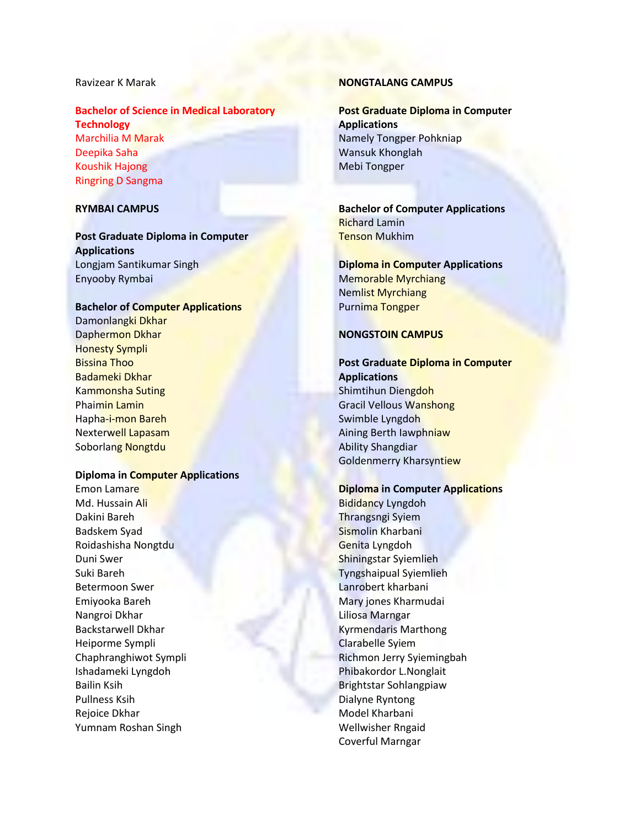#### Ravizear K Marak

### **Bachelor of Science in Medical Laboratory Technology**

Marchilia M Marak Deepika Saha Koushik Hajong Ringring D Sangma

### **RYMBAI CAMPUS**

**Post Graduate Diploma in Computer Applications** Longjam Santikumar Singh Enyooby Rymbai

#### **Bachelor of Computer Applications**

Damonlangki Dkhar Daphermon Dkhar Honesty Sympli Bissina Thoo Badameki Dkhar Kammonsha Suting Phaimin Lamin Hapha-i-mon Bareh Nexterwell Lapasam Soborlang Nongtdu

### **Diploma in Computer Applications**

Emon Lamare Md. Hussain Ali Dakini Bareh Badskem Syad Roidashisha Nongtdu Duni Swer Suki Bareh Betermoon Swer Emiyooka Bareh Nangroi Dkhar Backstarwell Dkhar Heiporme Sympli Chaphranghiwot Sympli Ishadameki Lyngdoh Bailin Ksih Pullness Ksih Rejoice Dkhar Yumnam Roshan Singh

### **NONGTALANG CAMPUS**

**Post Graduate Diploma in Computer Applications** Namely Tongper Pohkniap Wansuk Khonglah Mebi Tongper

**Bachelor of Computer Applications** Richard Lamin Tenson Mukhim

**Diploma in Computer Applications** Memorable Myrchiang Nemlist Myrchiang Purnima Tongper

### **NONGSTOIN CAMPUS**

# **Post Graduate Diploma in Computer Applications** Shimtihun Diengdoh Gracil Vellous Wanshong Swimble Lyngdoh Aining Berth Iawphniaw Ability Shangdiar

#### **Diploma in Computer Applications**

Goldenmerry Kharsyntiew

Bididancy Lyngdoh Thrangsngi Syiem Sismolin Kharbani Genita Lyngdoh Shiningstar Syiemlieh Tyngshaipual Syiemlieh Lanrobert kharbani Mary jones Kharmudai Liliosa Marngar Kyrmendaris Marthong Clarabelle Syiem Richmon Jerry Syiemingbah Phibakordor L.Nonglait Brightstar Sohlangpiaw Dialyne Ryntong Model Kharbani Wellwisher Rngaid Coverful Marngar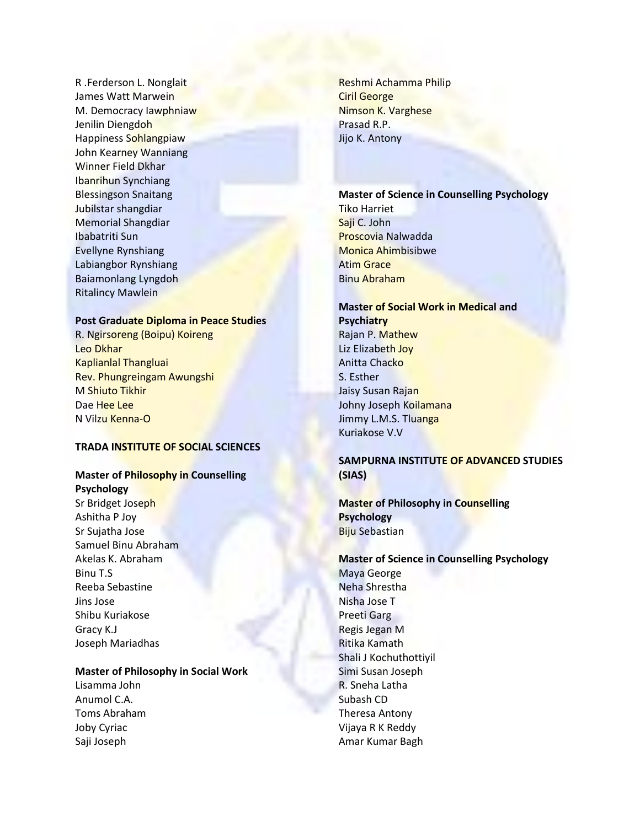R .Ferderson L. Nonglait James Watt Marwein M. Democracy Iawphniaw Jenilin Diengdoh Happiness Sohlangpiaw John Kearney Wanniang Winner Field Dkhar Ibanrihun Synchiang Blessingson Snaitang Jubilstar shangdiar Memorial Shangdiar Ibabatriti Sun Evellyne Rynshiang Labiangbor Rynshiang Baiamonlang Lyngdoh Ritalincy Mawlein

#### **Post Graduate Diploma in Peace Studies**

R. Ngirsoreng (Boipu) Koireng Leo Dkhar Kaplianlal Thangluai Rev. Phungreingam Awungshi M Shiuto Tikhir Dae Hee Lee N Vilzu Kenna-O

### **TRADA INSTITUTE OF SOCIAL SCIENCES**

### **Master of Philosophy in Counselling**

**Psychology** Sr Bridget Joseph Ashitha P Joy Sr Sujatha Jose Samuel Binu Abraham Akelas K. Abraham Binu T.S Reeba Sebastine Jins Jose Shibu Kuriakose Gracy K.J Joseph Mariadhas

## **Master of Philosophy in Social Work**

Lisamma John Anumol C.A. Toms Abraham Joby Cyriac Saji Joseph

Reshmi Achamma Philip Ciril George Nimson K. Varghese Prasad R.P. Jijo K. Antony

# **Master of Science in Counselling Psychology**

Tiko Harriet Saji C. John Proscovia Nalwadda Monica Ahimbisibwe Atim Grace Binu Abraham

# **Master of Social Work in Medical and Psychiatry** Rajan P. Mathew Liz Elizabeth Joy Anitta Chacko

S. Esther Jaisy Susan Rajan Johny Joseph Koilamana Jimmy L.M.S. Tluanga Kuriakose V.V

# **SAMPURNA INSTITUTE OF ADVANCED STUDIES (SIAS)**

# **Master of Philosophy in Counselling Psychology** Biju Sebastian

**Master of Science in Counselling Psychology** Maya George Neha Shrestha Nisha Jose T Preeti Garg Regis Jegan M Ritika Kamath Shali J Kochuthottiyil Simi Susan Joseph R. Sneha Latha Subash CD Theresa Antony Vijaya R K Reddy Amar Kumar Bagh